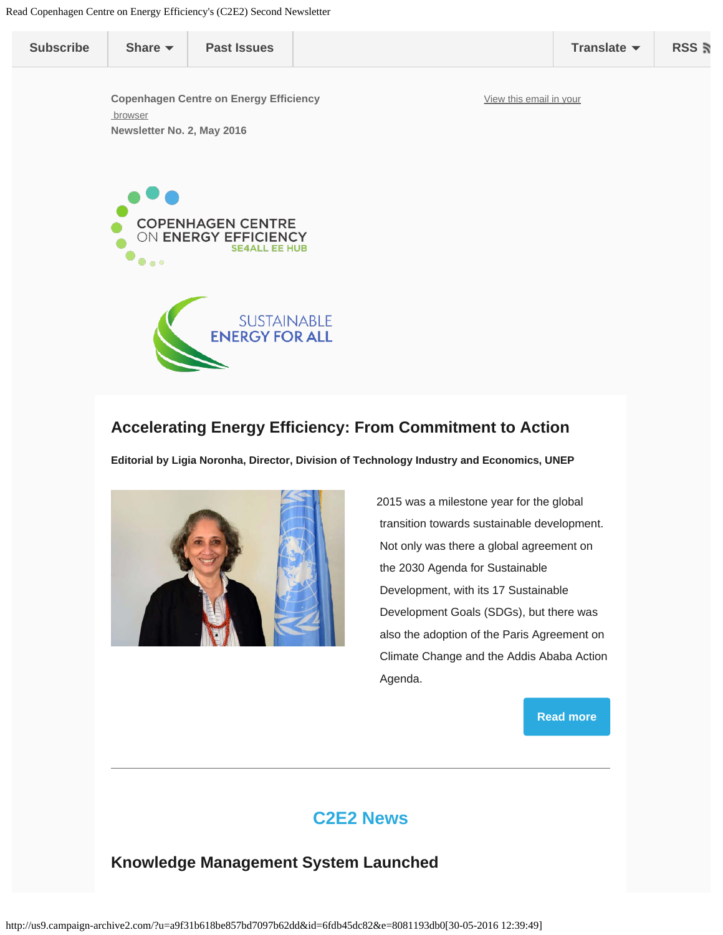<span id="page-0-0"></span>

| <b>Subscribe</b> | Share $\blacktriangledown$                                                             | <b>Past Issues</b>                                                       |                         | Translate $\blacktriangledown$ | RSS <b>ត</b> |
|------------------|----------------------------------------------------------------------------------------|--------------------------------------------------------------------------|-------------------------|--------------------------------|--------------|
|                  | <b>Copenhagen Centre on Energy Efficiency</b><br>browser<br>Newsletter No. 2, May 2016 |                                                                          | View this email in your |                                |              |
|                  | $\bullet$                                                                              | <b>COPENHAGEN CENTRE</b><br>ON ENERGY EFFICIENCY<br><b>SE4ALL EE HUB</b> |                         |                                |              |
|                  |                                                                                        | <b>SUSTAINABLE</b><br><b>ENERGY FOR ALL</b>                              |                         |                                |              |

#### **Accelerating Energy Efficiency: From Commitment to Action**

**Editorial by Ligia Noronha, Director, Division of Technology Industry and Economics, UNEP**



2015 was a milestone year for the global transition towards sustainable development. Not only was there a global agreement on the 2030 Agenda for Sustainable Development, with its 17 Sustainable Development Goals (SDGs), but there was also the adoption of the Paris Agreement on Climate Change and the Addis Ababa Action Agenda.

**[Read more](http://www.energyefficiencycentre.org/Nyheder/Nyhed?id=63FBEBFC-A53E-4781-AB22-D6C85B88FCA5)**

## **C2E2 News**

#### **Knowledge Management System Launched**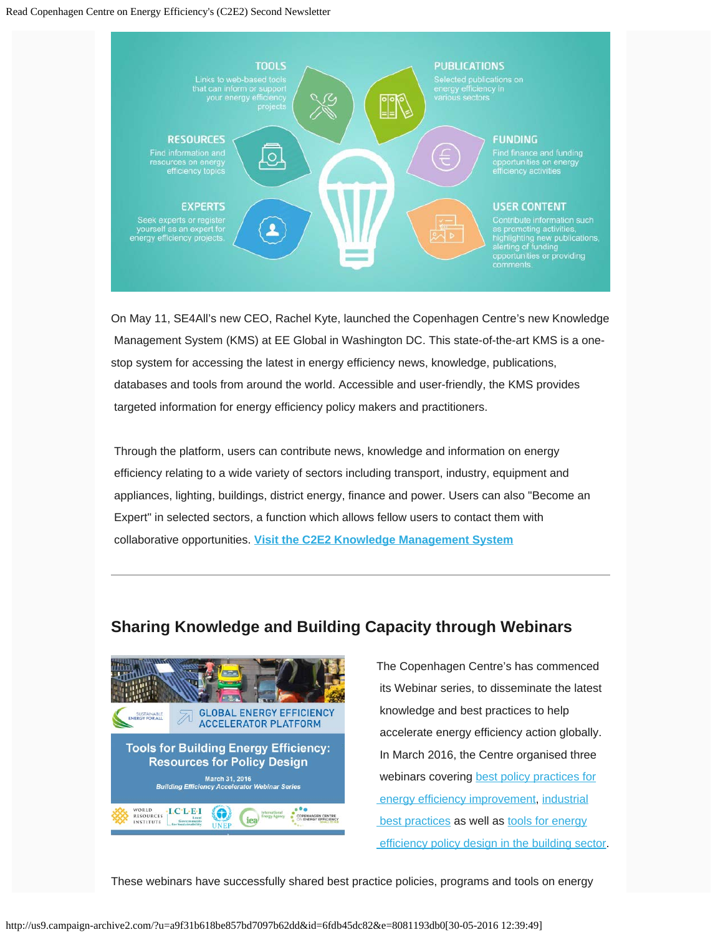#### Read Copenhagen Centre on Energy Efficiency's (C2E2) Second Newsletter



On May 11, SE4All's new CEO, Rachel Kyte, launched the Copenhagen Centre's new Knowledge Management System (KMS) at EE Global in Washington DC. This state-of-the-art KMS is a onestop system for accessing the latest in energy efficiency news, knowledge, publications, databases and tools from around the world. Accessible and user-friendly, the KMS provides targeted information for energy efficiency policy makers and practitioners.

Through the platform, users can contribute news, knowledge and information on energy efficiency relating to a wide variety of sectors including transport, industry, equipment and appliances, lighting, buildings, district energy, finance and power. Users can also "Become an Expert" in selected sectors, a function which allows fellow users to contact them with collaborative opportunities. **[Visit the C2E2](http://kms.energyefficiencycentre.org/) [Knowledge Management System](http://kms.energyefficiencycentre.org/)**

#### **Sharing Knowledge and Building Capacity through Webinars**



The Copenhagen Centre's has commenced its Webinar series, to disseminate the latest knowledge and best practices to help accelerate energy efficiency action globally. In March 2016, the Centre organised three webinars covering [best policy practices for](http://kms.energyefficiencycentre.org/web-resource/best-policy-practices-promoting-energy-efficiency-webinar) energy efficiency improvement, [industrial](http://kms.energyefficiencycentre.org/web-resource/best-practices-and-case-studies-improve-industrial-energy-efficiency-webinar) best practices as well as [tools for energy](http://kms.energyefficiencycentre.org/web-resource/tools-building-energy-efficiency-resources-policy-design)  [efficiency policy design in the building sector](http://kms.energyefficiencycentre.org/web-resource/tools-building-energy-efficiency-resources-policy-design).

These webinars have successfully shared best practice policies, programs and tools on energy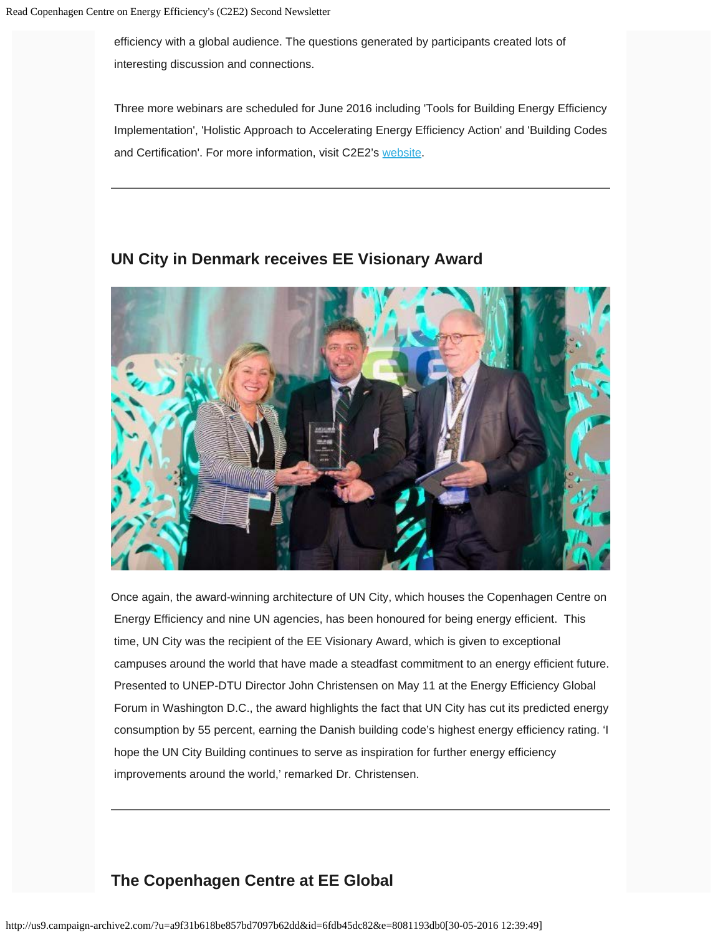efficiency with a global audience. The questions generated by participants created lots of interesting discussion and connections.

Three more webinars are scheduled for June 2016 including 'Tools for Building Energy Efficiency Implementation', 'Holistic Approach to Accelerating Energy Efficiency Action' and 'Building Codes and Certification'. For more information, visit C2E2's [website](http://www.energyefficiencycentre.org/).



#### **UN City in Denmark receives EE Visionary Award**

Once again, the award-winning architecture of UN City, which houses the Copenhagen Centre on Energy Efficiency and nine UN agencies, has been honoured for being energy efficient. This time, UN City was the recipient of the EE Visionary Award, which is given to exceptional campuses around the world that have made a steadfast commitment to an energy efficient future. Presented to UNEP-DTU Director John Christensen on May 11 at the Energy Efficiency Global Forum in Washington D.C., the award highlights the fact that UN City has cut its predicted energy consumption by 55 percent, earning the Danish building code's highest energy efficiency rating. 'I hope the UN City Building continues to serve as inspiration for further energy efficiency improvements around the world,' remarked Dr. Christensen.

#### **The Copenhagen Centre at EE Global**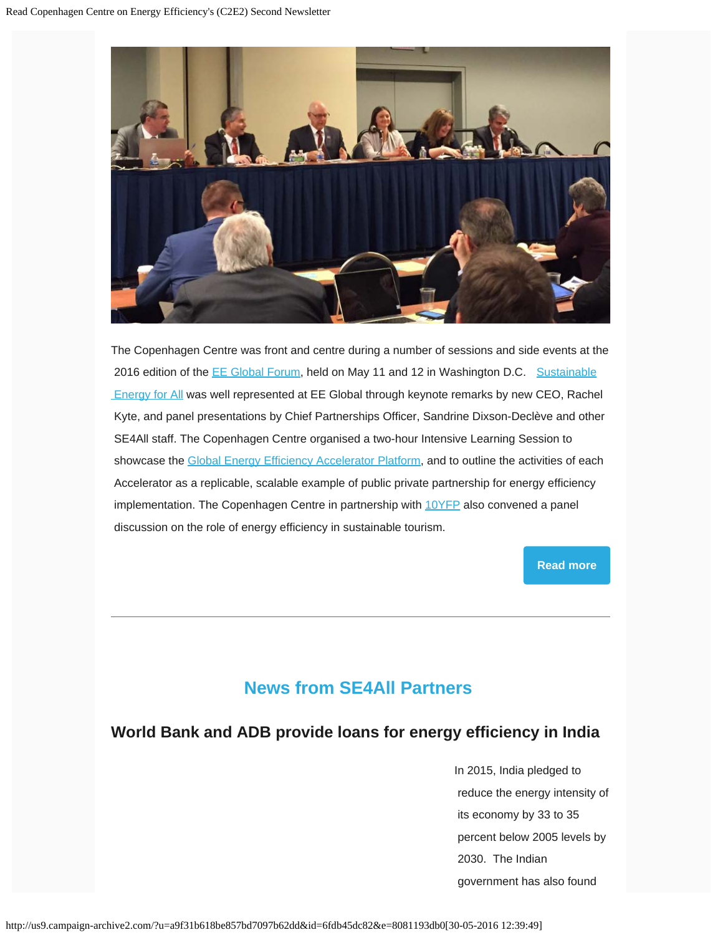

The Copenhagen Centre was front and centre during a number of sessions and side events at the 2016 edition of the **[EE Global Forum](http://eeglobalforum.org/), held on May 11 and 12 in Washington D.C.** [Sustainable](http://www.se4all.org/) **Energy for All was well represented at EE Global through keynote remarks by new CEO, Rachel**  Kyte, and panel presentations by Chief Partnerships Officer, Sandrine Dixson-Declève and other SE4All staff. The Copenhagen Centre organised a two-hour Intensive Learning Session to showcase the [Global Energy Efficiency Accelerator Platform](http://www.se4all.org/energyefficiencyplatform), and to outline the activities of each Accelerator as a replicable, scalable example of public private partnership for energy efficiency implementation. The Copenhagen Centre in partnership with  $10YFP$  also convened a panel discussion on the role of energy efficiency in sustainable tourism.

**[Read more](http://www.energyefficiencycentre.org/Nyheder/Nyhed?id=eb0e2988-3ceb-4e5a-bc5b-ef1d39a7ee37)**

# **News from SE4All Partners**

#### **World Bank and ADB provide loans for energy efficiency in India**

In 2015, India pledged to reduce the energy intensity of its economy by 33 to 35 percent below 2005 levels by 2030. The Indian government has also found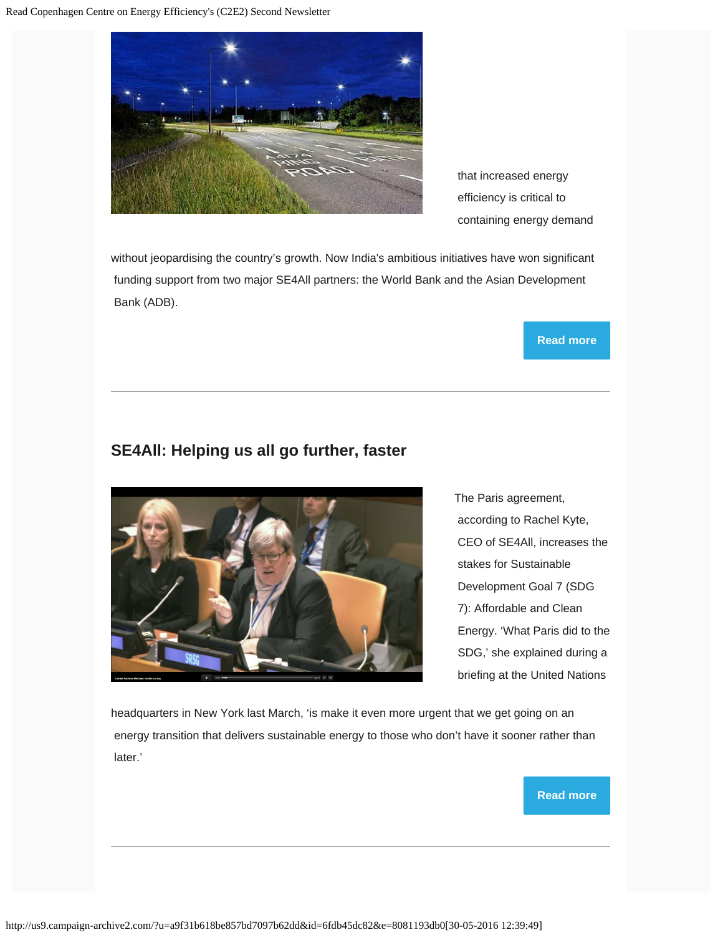

 that increased energy efficiency is critical to containing energy demand

without jeopardising the country's growth. Now India's ambitious initiatives have won significant funding support from two major SE4All partners: the World Bank and the Asian Development Bank (ADB).

#### **[Read more](http://www.energyefficiencycentre.org/Nyheder/Nyhed?id=f83e48d5-3947-4b78-b192-8dd913016ac4)**

### **SE4All: Helping us all go further, faster**



The Paris agreement, according to Rachel Kyte, CEO of SE4All, increases the stakes for Sustainable Development Goal 7 (SDG 7): Affordable and Clean Energy. 'What Paris did to the SDG,' she explained during a briefing at the United Nations

headquarters in New York last March, 'is make it even more urgent that we get going on an energy transition that delivers sustainable energy to those who don't have it sooner rather than later.'

#### **[Read more](http://www.energyefficiencycentre.org/Nyheder/Nyhed?id=0ea1cc8c-d9ef-4ffc-a470-99dc063b83cd)**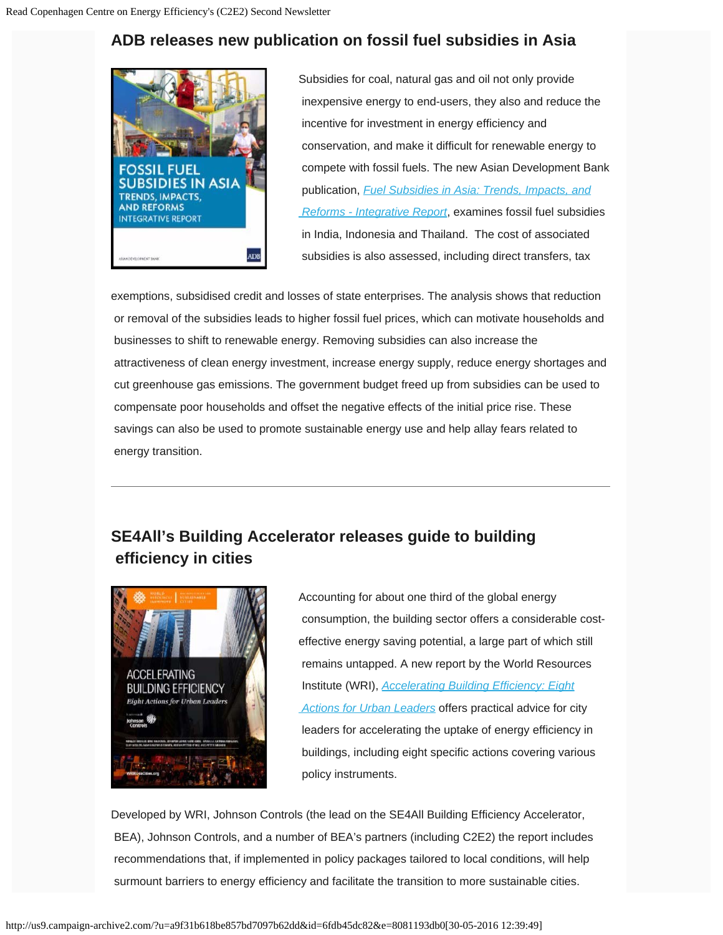# **ADB releases new publication on fossil fuel subsidies in Asia**



Subsidies for coal, natural gas and oil not only provide inexpensive energy to end-users, they also and reduce the incentive for investment in energy efficiency and conservation, and make it difficult for renewable energy to compete with fossil fuels. The new Asian Development Bank publication, *[Fuel Subsidies in Asia: Trends, Impacts, and](http://www.adb.org/sites/default/files/publication/182255/fossil-fuel-subsidies-asia.pdf)  [Reforms - Integrative Report](http://www.adb.org/sites/default/files/publication/182255/fossil-fuel-subsidies-asia.pdf)*, examines fossil fuel subsidies in India, Indonesia and Thailand. The cost of associated subsidies is also assessed, including direct transfers, tax

exemptions, subsidised credit and losses of state enterprises. The analysis shows that reduction or removal of the subsidies leads to higher fossil fuel prices, which can motivate households and businesses to shift to renewable energy. Removing subsidies can also increase the attractiveness of clean energy investment, increase energy supply, reduce energy shortages and cut greenhouse gas emissions. The government budget freed up from subsidies can be used to compensate poor households and offset the negative effects of the initial price rise. These savings can also be used to promote sustainable energy use and help allay fears related to energy transition.

## **SE4All's Building Accelerator releases guide to building efficiency in cities**



Accounting for about one third of the global energy consumption, the building sector offers a considerable costeffective energy saving potential, a large part of which still remains untapped. A new report by the World Resources Institute (WRI), *[Accelerating Building Efficiency: Eight](http://kms.energyefficiencycentre.org/publication-report/accelerating-building-efficiency-eight-actions-urban-leaders)  [Actions for Urban Leaders](http://kms.energyefficiencycentre.org/publication-report/accelerating-building-efficiency-eight-actions-urban-leaders)* offers practical advice for city leaders for accelerating the uptake of energy efficiency in buildings, including eight specific actions covering various policy instruments.

Developed by WRI, Johnson Controls (the lead on the SE4All Building Efficiency Accelerator, BEA), Johnson Controls, and a number of BEA's partners (including C2E2) the report includes recommendations that, if implemented in policy packages tailored to local conditions, will help surmount barriers to energy efficiency and facilitate the transition to more sustainable cities.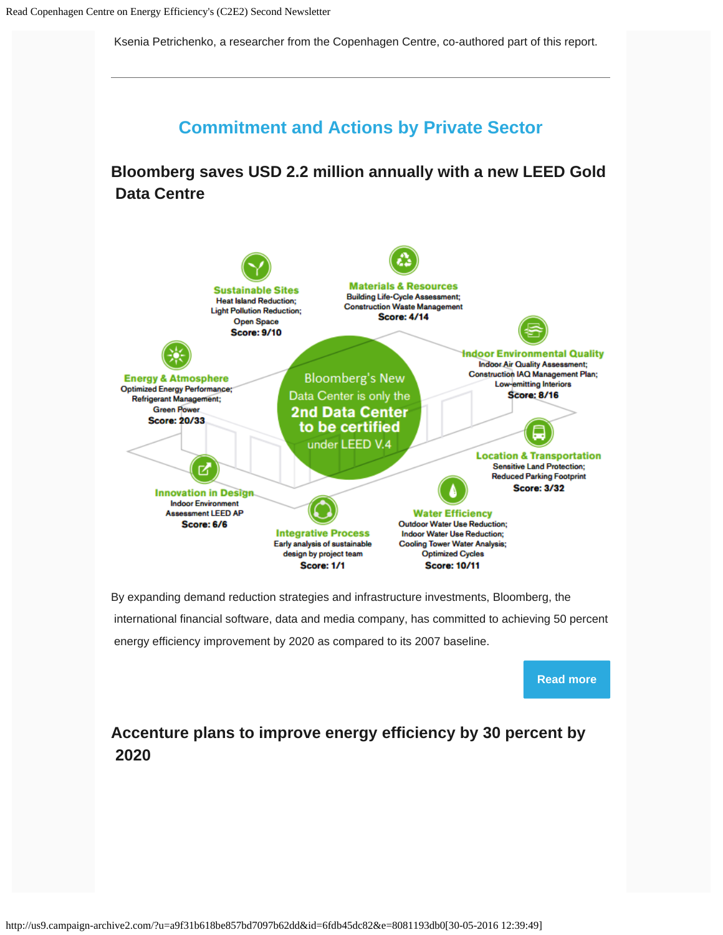Ksenia Petrichenko, a researcher from the Copenhagen Centre, co-authored part of this report.



energy efficiency improvement by 2020 as compared to its 2007 baseline.



# **Accenture plans to improve energy efficiency by 30 percent by 2020**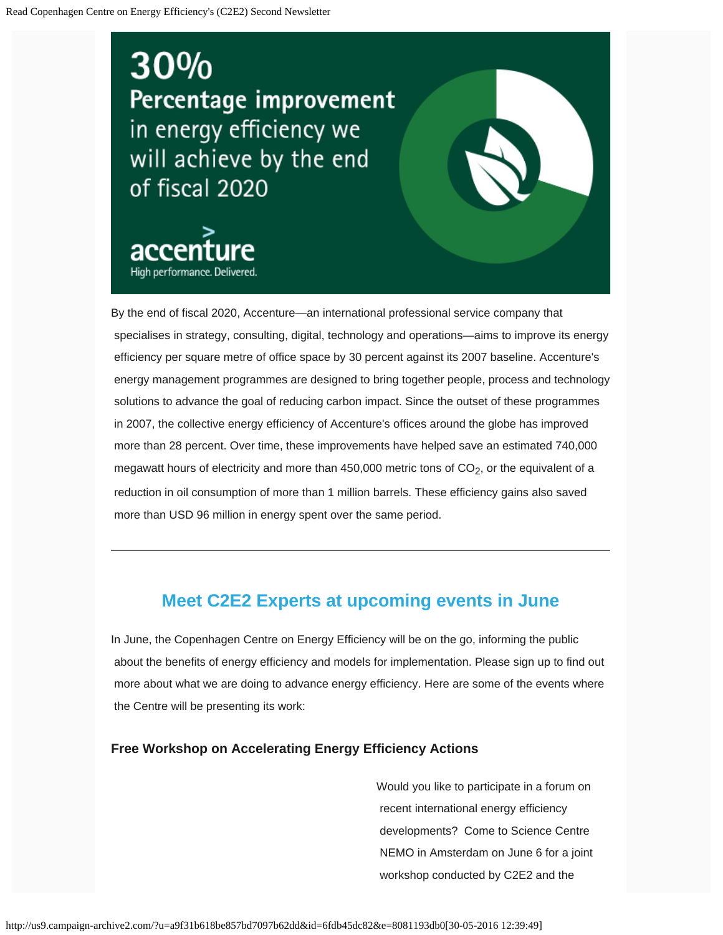# 30% Percentage improvement in energy efficiency we will achieve by the end of fiscal 2020



By the end of fiscal 2020, Accenture—an international professional service company that specialises in strategy, consulting, digital, technology and operations—aims to improve its energy efficiency per square metre of office space by 30 percent against its 2007 baseline. Accenture's energy management programmes are designed to bring together people, process and technology solutions to advance the goal of reducing carbon impact. Since the outset of these programmes in 2007, the collective energy efficiency of Accenture's offices around the globe has improved more than 28 percent. Over time, these improvements have helped save an estimated 740,000 megawatt hours of electricity and more than 450,000 metric tons of  $CO<sub>2</sub>$ , or the equivalent of a reduction in oil consumption of more than 1 million barrels. These efficiency gains also saved more than USD 96 million in energy spent over the same period.

# **Meet C2E2 Experts at upcoming events in June**

In June, the Copenhagen Centre on Energy Efficiency will be on the go, informing the public about the benefits of energy efficiency and models for implementation. Please sign up to find out more about what we are doing to advance energy efficiency. Here are some of the events where the Centre will be presenting its work:

#### **Free Workshop on Accelerating Energy Efficiency Actions**

Would you like to participate in a forum on recent international energy efficiency developments? Come to Science Centre NEMO in Amsterdam on June 6 for a joint workshop conducted by C2E2 and the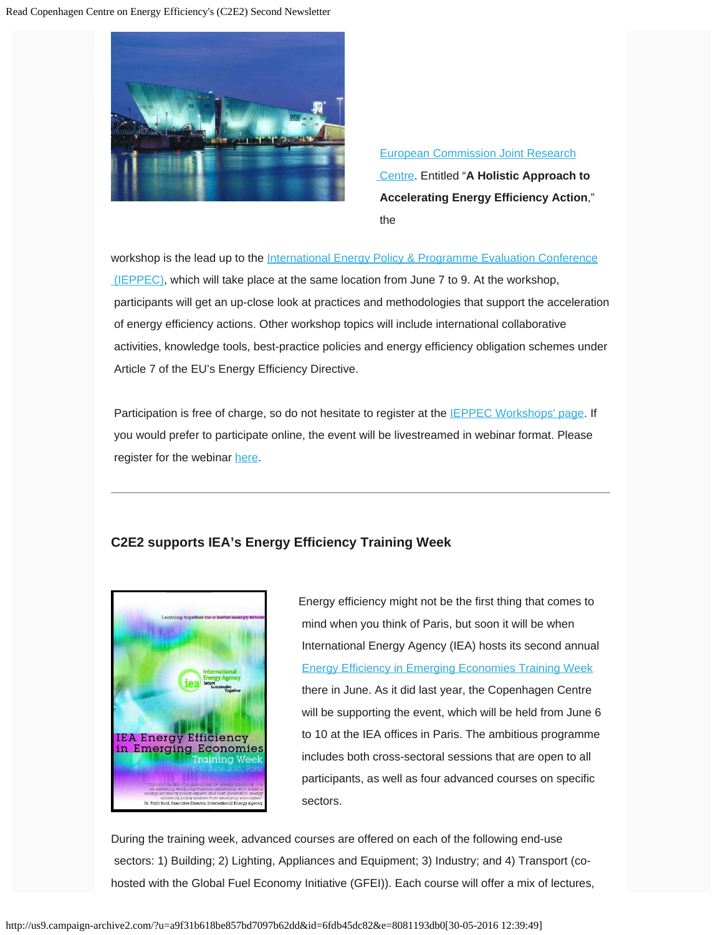

[European Commission Joint Research](https://ec.europa.eu/jrc/en)  [Centre.](https://ec.europa.eu/jrc/en) Entitled "**A Holistic Approach to Accelerating Energy Efficiency Action**," the

workshop is the lead up to the [International Energy Policy & Programme Evaluation Conference](http://www.ieppec.org/)  $I(EPPEC)$ , which will take place at the same location from June 7 to 9. At the workshop, participants will get an up-close look at practices and methodologies that support the acceleration of energy efficiency actions. Other workshop topics will include international collaborative activities, knowledge tools, best-practice policies and energy efficiency obligation schemes under Article 7 of the EU's Energy Efficiency Directive.

Participation is free of charge, so do not hesitate to register at the **IEPPEC Workshops'** page. If you would prefer to participate online, the event will be livestreamed in webinar format. Please register for the webinar [here.](https://attendee.gotowebinar.com/register/4907286795540697348)

#### **C2E2 supports IEA's Energy Efficiency Training Week**



Energy efficiency might not be the first thing that comes to mind when you think of Paris, but soon it will be when International Energy Agency (IEA) hosts its second annual [Energy Efficiency in Emerging Economies Training Week](http://www.iea.org/training/energyefficiencytrainingweek2016/) there in June. As it did last year, the Copenhagen Centre will be supporting the event, which will be held from June 6 to 10 at the IEA offices in Paris. The ambitious programme includes both cross-sectoral sessions that are open to all participants, as well as four advanced courses on specific sectors.

During the training week, advanced courses are offered on each of the following end-use sectors: 1) Building; 2) Lighting, Appliances and Equipment; 3) Industry; and 4) Transport (cohosted with the Global Fuel Economy Initiative (GFEI)). Each course will offer a mix of lectures,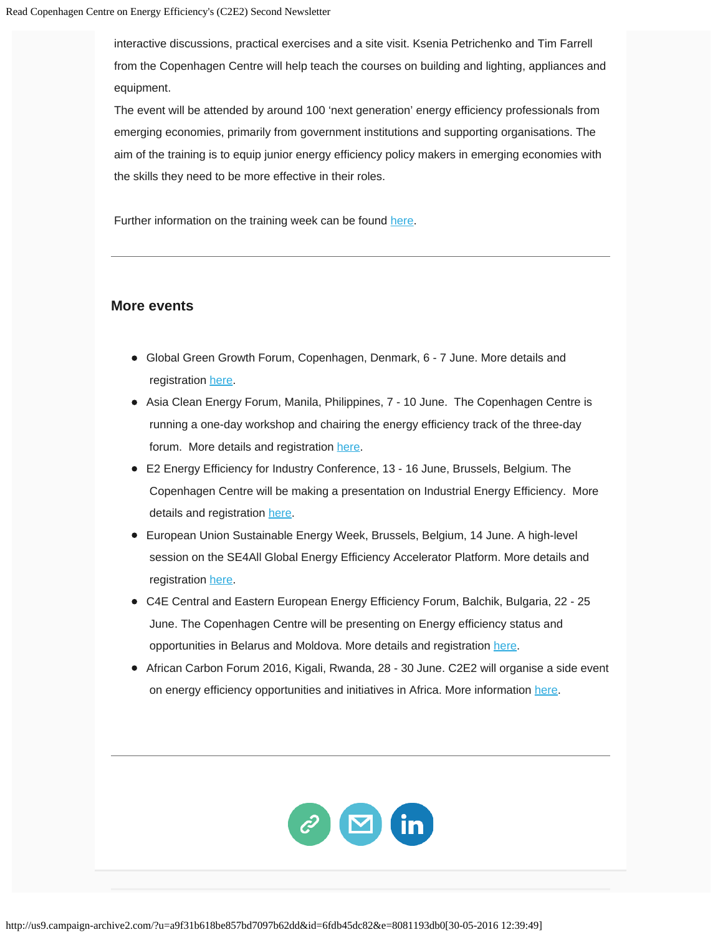interactive discussions, practical exercises and a site visit. Ksenia Petrichenko and Tim Farrell from the Copenhagen Centre will help teach the courses on building and lighting, appliances and equipment.

The event will be attended by around 100 'next generation' energy efficiency professionals from emerging economies, primarily from government institutions and supporting organisations. The aim of the training is to equip junior energy efficiency policy makers in emerging economies with the skills they need to be more effective in their roles.

Further information on the training week can be found [here](http://www.iea.org/training/energyefficiencytrainingweek2016/).

#### **More events**

- Global Green Growth Forum, Copenhagen, Denmark, 6 7 June. More details and registration [here](http://3gf.dk/en/events/3gf-2016-summit/).
- **Asia Clean Energy Forum, Manila, Philippines, 7 10 June. The Copenhagen Centre is**  running a one-day workshop and chairing the energy efficiency track of the three-day forum. More details and registration [here](http://www.asiacleanenergyforum.org/).
- E2 Energy Efficiency for Industry Conference, 13 16 June, Brussels, Belgium. The Copenhagen Centre will be making a presentation on Industrial Energy Efficiency. More details and registration [here.](http://brussels.e2industry.com/)
- European Union Sustainable Energy Week, Brussels, Belgium, 14 June. A high-level session on the SE4All Global Energy Efficiency Accelerator Platform. More details and registration [here](http://eusew.eu/about-conference).
- C4E Central and Eastern European Energy Efficiency Forum, Balchik, Bulgaria, 22 25 June. The Copenhagen Centre will be presenting on Energy efficiency status and opportunities in Belarus and Moldova. More details and registration [here.](http://c4eforum.net/)
- African Carbon Forum 2016, Kigali, Rwanda, 28 30 June. C2E2 will organise a side event on energy efficiency opportunities and initiatives in Africa. More information [here.](http://www.africacarbonforum.com/)